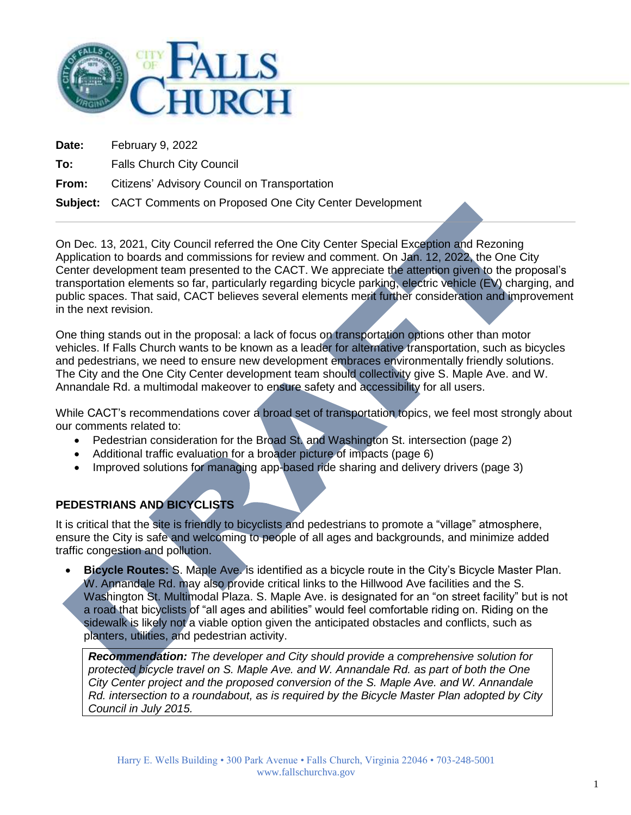

**Date:** February 9, 2022

**To:** Falls Church City Council

**From:** Citizens' Advisory Council on Transportation

### **Subject:** CACT Comments on Proposed One City Center Development

On Dec. 13, 2021, City Council referred the One City Center Special Exception and Rezoning Application to boards and commissions for review and comment. On Jan. 12, 2022, the One City Center development team presented to the CACT. We appreciate the attention given to the proposal's transportation elements so far, particularly regarding bicycle parking, electric vehicle (EV) charging, and public spaces. That said, CACT believes several elements merit further consideration and improvement in the next revision.

One thing stands out in the proposal: a lack of focus on transportation options other than motor vehicles. If Falls Church wants to be known as a leader for alternative transportation, such as bicycles and pedestrians, we need to ensure new development embraces environmentally friendly solutions. The City and the One City Center development team should collectivity give S. Maple Ave. and W. Annandale Rd. a multimodal makeover to ensure safety and accessibility for all users.

While CACT's recommendations cover a broad set of transportation topics, we feel most strongly about our comments related to:

- Pedestrian consideration for the Broad St. and Washington St. intersection (page 2)
- Additional traffic evaluation for a broader picture of impacts (page 6)
- Improved solutions for managing app-based ride sharing and delivery drivers (page 3)

# **PEDESTRIANS AND BICYCLISTS**

It is critical that the site is friendly to bicyclists and pedestrians to promote a "village" atmosphere, ensure the City is safe and welcoming to people of all ages and backgrounds, and minimize added traffic congestion and pollution.

 **Bicycle Routes:** S. Maple Ave. is identified as a bicycle route in the City's Bicycle Master Plan. W. Annandale Rd. may also provide critical links to the Hillwood Ave facilities and the S. Washington St. Multimodal Plaza. S. Maple Ave. is designated for an "on street facility" but is not a road that bicyclists of "all ages and abilities" would feel comfortable riding on. Riding on the sidewalk is likely not a viable option given the anticipated obstacles and conflicts, such as planters, utilities, and pedestrian activity.

*Recommendation: The developer and City should provide a comprehensive solution for protected bicycle travel on S. Maple Ave. and W. Annandale Rd. as part of both the One City Center project and the proposed conversion of the S. Maple Ave. and W. Annandale Rd. intersection to a roundabout, as is required by the Bicycle Master Plan adopted by City Council in July 2015.*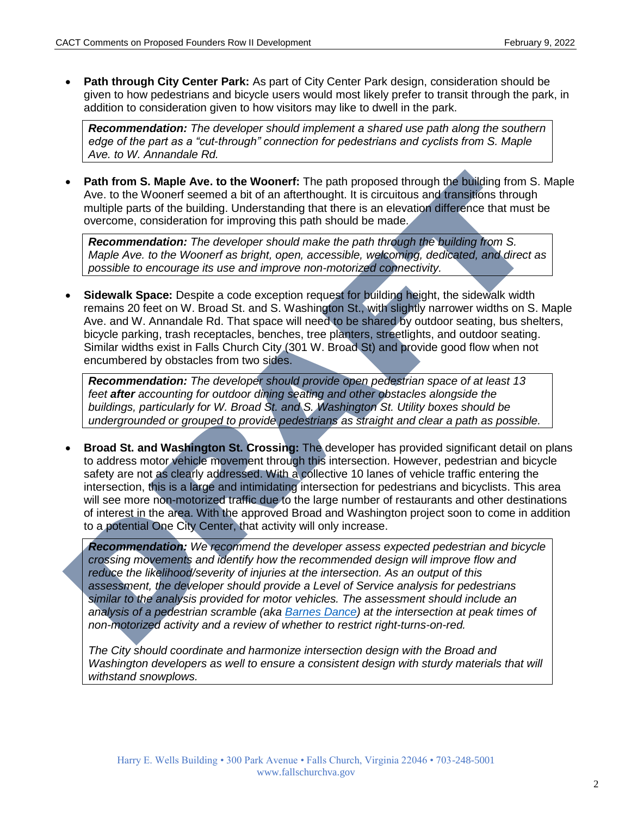**Path through City Center Park:** As part of City Center Park design, consideration should be given to how pedestrians and bicycle users would most likely prefer to transit through the park, in addition to consideration given to how visitors may like to dwell in the park.

*Recommendation: The developer should implement a shared use path along the southern edge of the part as a "cut-through" connection for pedestrians and cyclists from S. Maple Ave. to W. Annandale Rd.*

 **Path from S. Maple Ave. to the Woonerf:** The path proposed through the building from S. Maple Ave. to the Woonerf seemed a bit of an afterthought. It is circuitous and transitions through multiple parts of the building. Understanding that there is an elevation difference that must be overcome, consideration for improving this path should be made.

*Recommendation: The developer should make the path through the building from S. Maple Ave. to the Woonerf as bright, open, accessible, welcoming, dedicated, and direct as possible to encourage its use and improve non-motorized connectivity.*

 **Sidewalk Space:** Despite a code exception request for building height, the sidewalk width remains 20 feet on W. Broad St. and S. Washington St., with slightly narrower widths on S. Maple Ave. and W. Annandale Rd. That space will need to be shared by outdoor seating, bus shelters, bicycle parking, trash receptacles, benches, tree planters, streetlights, and outdoor seating. Similar widths exist in Falls Church City (301 W. Broad St) and provide good flow when not encumbered by obstacles from two sides.

*Recommendation: The developer should provide open pedestrian space of at least 13 feet after accounting for outdoor dining seating and other obstacles alongside the buildings, particularly for W. Broad St. and S. Washington St. Utility boxes should be undergrounded or grouped to provide pedestrians as straight and clear a path as possible.*

 **Broad St. and Washington St. Crossing:** The developer has provided significant detail on plans to address motor vehicle movement through this intersection. However, pedestrian and bicycle safety are not as clearly addressed. With a collective 10 lanes of vehicle traffic entering the intersection, this is a large and intimidating intersection for pedestrians and bicyclists. This area will see more non-motorized traffic due to the large number of restaurants and other destinations of interest in the area. With the approved Broad and Washington project soon to come in addition to a potential One City Center, that activity will only increase.

*Recommendation: We recommend the developer assess expected pedestrian and bicycle crossing movements and identify how the recommended design will improve flow and reduce the likelihood/severity of injuries at the intersection. As an output of this assessment, the developer should provide a Level of Service analysis for pedestrians similar to the analysis provided for motor vehicles. The assessment should include an analysis of a pedestrian scramble (aka [Barnes Dance\)](https://www.youtube.com/watch?v=_SreZEWDypU&ab_channel=DDOTCommunications) at the intersection at peak times of non-motorized activity and a review of whether to restrict right-turns-on-red.*

*The City should coordinate and harmonize intersection design with the Broad and Washington developers as well to ensure a consistent design with sturdy materials that will withstand snowplows.*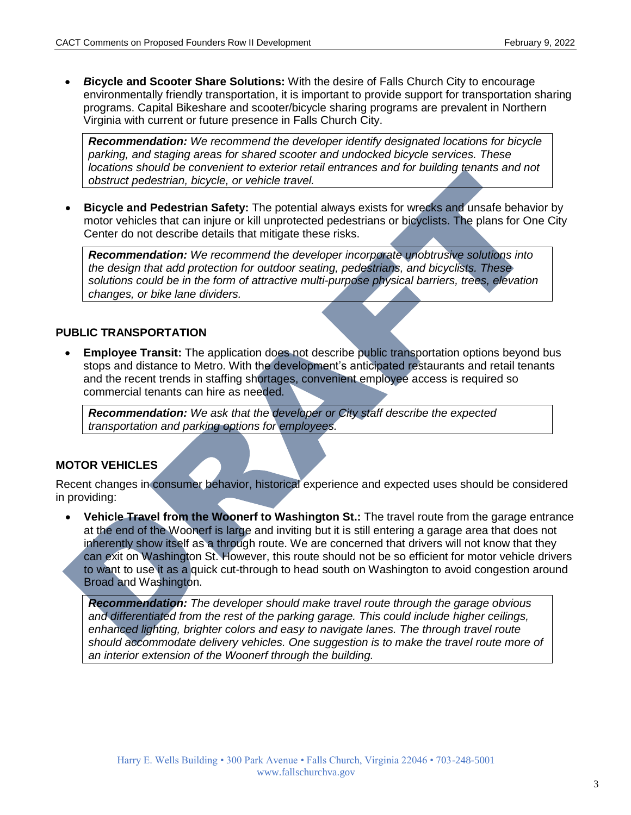*B***icycle and Scooter Share Solutions:** With the desire of Falls Church City to encourage environmentally friendly transportation, it is important to provide support for transportation sharing programs. Capital Bikeshare and scooter/bicycle sharing programs are prevalent in Northern Virginia with current or future presence in Falls Church City.

*Recommendation: We recommend the developer identify designated locations for bicycle parking, and staging areas for shared scooter and undocked bicycle services. These locations should be convenient to exterior retail entrances and for building tenants and not obstruct pedestrian, bicycle, or vehicle travel.*

 **Bicycle and Pedestrian Safety:** The potential always exists for wrecks and unsafe behavior by motor vehicles that can injure or kill unprotected pedestrians or bicyclists. The plans for One City Center do not describe details that mitigate these risks.

*Recommendation: We recommend the developer incorporate unobtrusive solutions into the design that add protection for outdoor seating, pedestrians, and bicyclists. These solutions could be in the form of attractive multi-purpose physical barriers, trees, elevation changes, or bike lane dividers.*

### **PUBLIC TRANSPORTATION**

 **Employee Transit:** The application does not describe public transportation options beyond bus stops and distance to Metro. With the development's anticipated restaurants and retail tenants and the recent trends in staffing shortages, convenient employee access is required so commercial tenants can hire as needed.

*Recommendation: We ask that the developer or City staff describe the expected transportation and parking options for employees.*

## **MOTOR VEHICLES**

Recent changes in consumer behavior, historical experience and expected uses should be considered in providing:

• Vehicle Travel from the Woonerf to Washington St.: The travel route from the garage entrance at the end of the Woonerf is large and inviting but it is still entering a garage area that does not inherently show itself as a through route. We are concerned that drivers will not know that they can exit on Washington St. However, this route should not be so efficient for motor vehicle drivers to want to use it as a quick cut-through to head south on Washington to avoid congestion around Broad and Washington.

*Recommendation: The developer should make travel route through the garage obvious and differentiated from the rest of the parking garage. This could include higher ceilings, enhanced lighting, brighter colors and easy to navigate lanes. The through travel route should accommodate delivery vehicles. One suggestion is to make the travel route more of an interior extension of the Woonerf through the building.*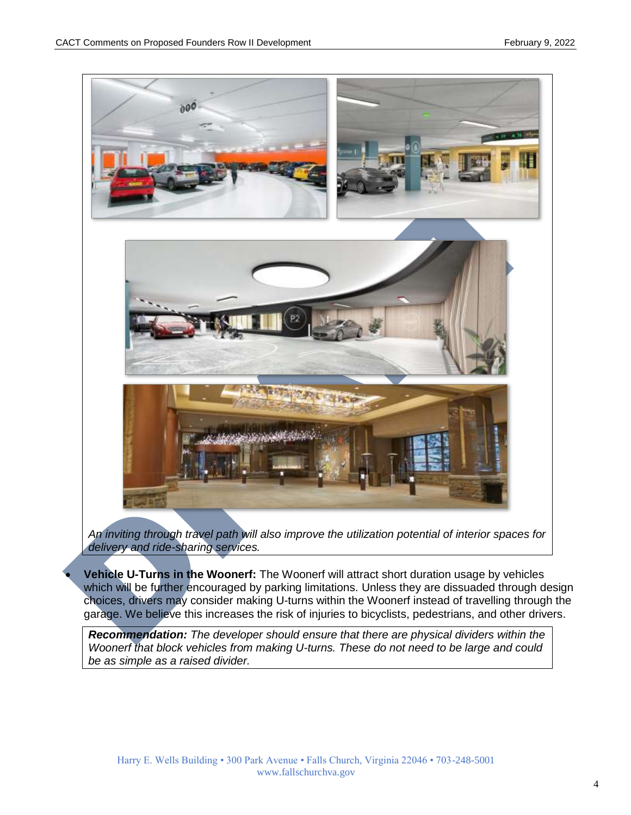

*An inviting through travel path will also improve the utilization potential of interior spaces for delivery and ride-sharing services.*

 **Vehicle U-Turns in the Woonerf:** The Woonerf will attract short duration usage by vehicles which will be further encouraged by parking limitations. Unless they are dissuaded through design choices, drivers may consider making U-turns within the Woonerf instead of travelling through the garage. We believe this increases the risk of injuries to bicyclists, pedestrians, and other drivers.

*Recommendation: The developer should ensure that there are physical dividers within the Woonerf that block vehicles from making U-turns. These do not need to be large and could be as simple as a raised divider.*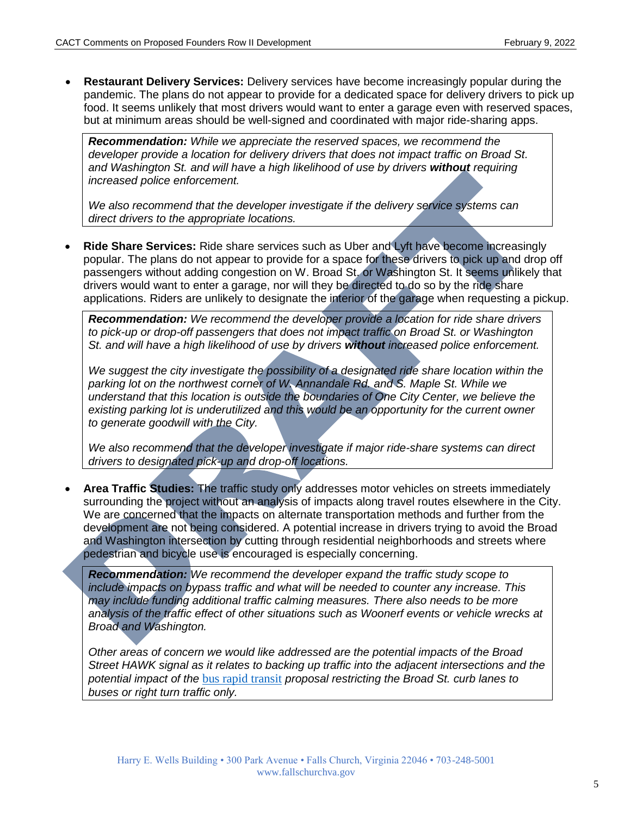**Restaurant Delivery Services:** Delivery services have become increasingly popular during the pandemic. The plans do not appear to provide for a dedicated space for delivery drivers to pick up food. It seems unlikely that most drivers would want to enter a garage even with reserved spaces, but at minimum areas should be well-signed and coordinated with major ride-sharing apps.

*Recommendation: While we appreciate the reserved spaces, we recommend the developer provide a location for delivery drivers that does not impact traffic on Broad St. and Washington St. and will have a high likelihood of use by drivers without requiring increased police enforcement.*

*We also recommend that the developer investigate if the delivery service systems can direct drivers to the appropriate locations.*

 **Ride Share Services:** Ride share services such as Uber and Lyft have become increasingly popular. The plans do not appear to provide for a space for these drivers to pick up and drop off passengers without adding congestion on W. Broad St. or Washington St. It seems unlikely that drivers would want to enter a garage, nor will they be directed to do so by the ride share applications. Riders are unlikely to designate the interior of the garage when requesting a pickup.

*Recommendation: We recommend the developer provide a location for ride share drivers to pick-up or drop-off passengers that does not impact traffic on Broad St. or Washington St. and will have a high likelihood of use by drivers without increased police enforcement.*

*We suggest the city investigate the possibility of a designated ride share location within the parking lot on the northwest corner of W. Annandale Rd. and S. Maple St. While we understand that this location is outside the boundaries of One City Center, we believe the*  existing parking lot is underutilized and this would be an opportunity for the current owner *to generate goodwill with the City.*

*We also recommend that the developer investigate if major ride-share systems can direct drivers to designated pick-up and drop-off locations.*

 **Area Traffic Studies:** The traffic study only addresses motor vehicles on streets immediately surrounding the project without an analysis of impacts along travel routes elsewhere in the City. We are concerned that the impacts on alternate transportation methods and further from the development are not being considered. A potential increase in drivers trying to avoid the Broad and Washington intersection by cutting through residential neighborhoods and streets where pedestrian and bicycle use is encouraged is especially concerning.

*Recommendation: We recommend the developer expand the traffic study scope to include impacts on bypass traffic and what will be needed to counter any increase. This may include funding additional traffic calming measures. There also needs to be more analysis of the traffic effect of other situations such as Woonerf events or vehicle wrecks at Broad and Washington.*

*Other areas of concern we would like addressed are the potential impacts of the Broad Street HAWK signal as it relates to backing up traffic into the adjacent intersections and the potential impact of the* [bus rapid transit](https://novatransit.org/resources-3/) *proposal restricting the Broad St. curb lanes to buses or right turn traffic only.*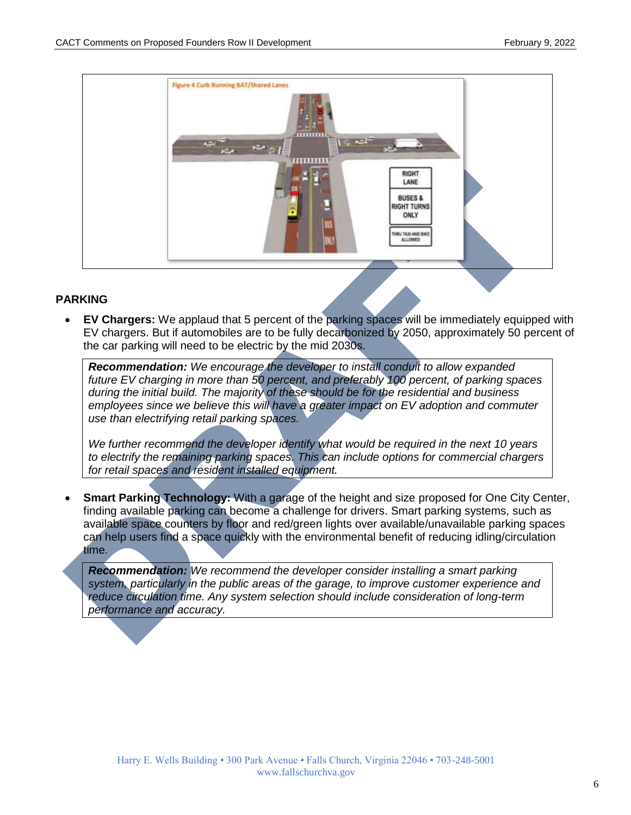

### **PARKING**

 **EV Chargers:** We applaud that 5 percent of the parking spaces will be immediately equipped with EV chargers. But if automobiles are to be fully decarbonized by 2050, approximately 50 percent of the car parking will need to be electric by the mid 2030s.

*Recommendation: We encourage the developer to install conduit to allow expanded future EV charging in more than 50 percent, and preferably 100 percent, of parking spaces during the initial build. The majority of these should be for the residential and business employees since we believe this will have a greater impact on EV adoption and commuter use than electrifying retail parking spaces.*

We further recommend the developer identify what would be required in the next 10 years *to electrify the remaining parking spaces. This can include options for commercial chargers for retail spaces and resident installed equipment.*

 **Smart Parking Technology:** With a garage of the height and size proposed for One City Center, finding available parking can become a challenge for drivers. Smart parking systems, such as available space counters by floor and red/green lights over available/unavailable parking spaces can help users find a space quickly with the environmental benefit of reducing idling/circulation time.

*Recommendation: We recommend the developer consider installing a smart parking system, particularly in the public areas of the garage, to improve customer experience and reduce circulation time. Any system selection should include consideration of long-term performance and accuracy.*